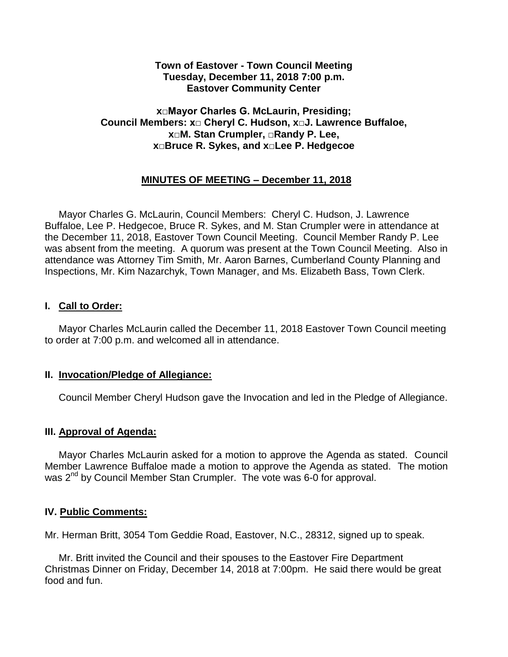### **Town of Eastover - Town Council Meeting Tuesday, December 11, 2018 7:00 p.m. Eastover Community Center**

## **x□Mayor Charles G. McLaurin, Presiding; Council Members: x□ Cheryl C. Hudson, x□J. Lawrence Buffaloe, x□M. Stan Crumpler, □Randy P. Lee, x□Bruce R. Sykes, and x□Lee P. Hedgecoe**

## **MINUTES OF MEETING – December 11, 2018**

 Mayor Charles G. McLaurin, Council Members: Cheryl C. Hudson, J. Lawrence Buffaloe, Lee P. Hedgecoe, Bruce R. Sykes, and M. Stan Crumpler were in attendance at the December 11, 2018, Eastover Town Council Meeting. Council Member Randy P. Lee was absent from the meeting. A quorum was present at the Town Council Meeting. Also in attendance was Attorney Tim Smith, Mr. Aaron Barnes, Cumberland County Planning and Inspections, Mr. Kim Nazarchyk, Town Manager, and Ms. Elizabeth Bass, Town Clerk.

### **I. Call to Order:**

 Mayor Charles McLaurin called the December 11, 2018 Eastover Town Council meeting to order at 7:00 p.m. and welcomed all in attendance.

#### **II. Invocation/Pledge of Allegiance:**

Council Member Cheryl Hudson gave the Invocation and led in the Pledge of Allegiance.

#### **III. Approval of Agenda:**

 Mayor Charles McLaurin asked for a motion to approve the Agenda as stated. Council Member Lawrence Buffaloe made a motion to approve the Agenda as stated. The motion was 2<sup>nd</sup> by Council Member Stan Crumpler. The vote was 6-0 for approval.

#### **IV. Public Comments:**

Mr. Herman Britt, 3054 Tom Geddie Road, Eastover, N.C., 28312, signed up to speak.

 Mr. Britt invited the Council and their spouses to the Eastover Fire Department Christmas Dinner on Friday, December 14, 2018 at 7:00pm. He said there would be great food and fun.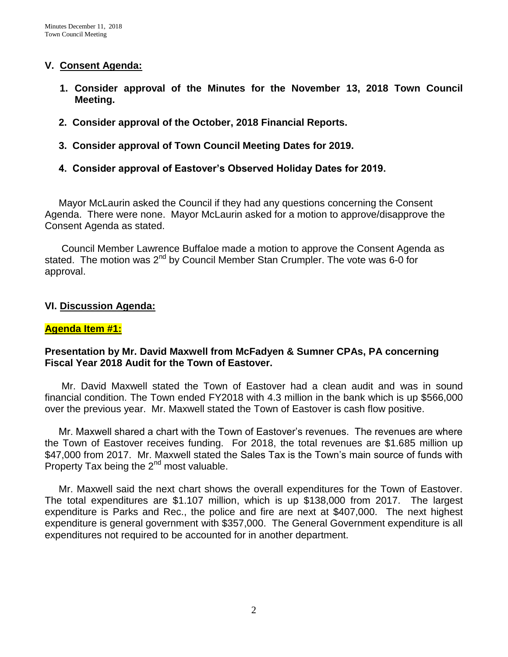### **V. Consent Agenda:**

- **1. Consider approval of the Minutes for the November 13, 2018 Town Council Meeting.**
- **2. Consider approval of the October, 2018 Financial Reports.**
- **3. Consider approval of Town Council Meeting Dates for 2019.**
- **4. Consider approval of Eastover's Observed Holiday Dates for 2019.**

 Mayor McLaurin asked the Council if they had any questions concerning the Consent Agenda. There were none. Mayor McLaurin asked for a motion to approve/disapprove the Consent Agenda as stated.

 Council Member Lawrence Buffaloe made a motion to approve the Consent Agenda as stated. The motion was  $2^{nd}$  by Council Member Stan Crumpler. The vote was 6-0 for approval.

#### **VI. Discussion Agenda:**

#### **Agenda Item #1:**

### **Presentation by Mr. David Maxwell from McFadyen & Sumner CPAs, PA concerning Fiscal Year 2018 Audit for the Town of Eastover.**

Mr. David Maxwell stated the Town of Eastover had a clean audit and was in sound financial condition. The Town ended FY2018 with 4.3 million in the bank which is up \$566,000 over the previous year. Mr. Maxwell stated the Town of Eastover is cash flow positive.

 Mr. Maxwell shared a chart with the Town of Eastover's revenues. The revenues are where the Town of Eastover receives funding. For 2018, the total revenues are \$1.685 million up \$47,000 from 2017. Mr. Maxwell stated the Sales Tax is the Town's main source of funds with Property Tax being the  $2^{nd}$  most valuable.

 Mr. Maxwell said the next chart shows the overall expenditures for the Town of Eastover. The total expenditures are \$1.107 million, which is up \$138,000 from 2017. The largest expenditure is Parks and Rec., the police and fire are next at \$407,000. The next highest expenditure is general government with \$357,000. The General Government expenditure is all expenditures not required to be accounted for in another department.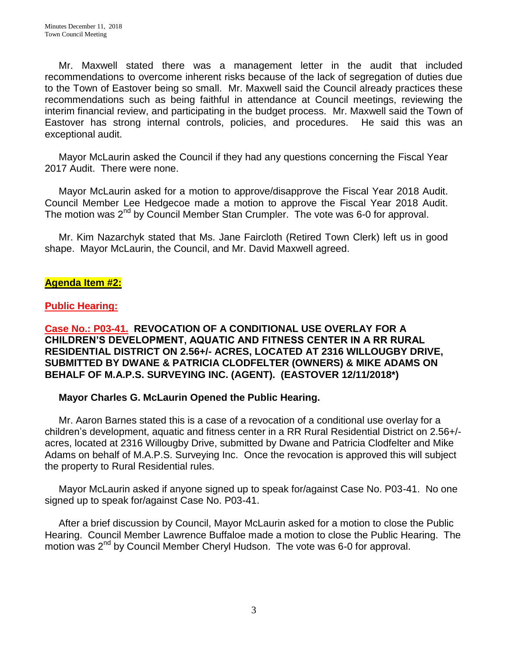Mr. Maxwell stated there was a management letter in the audit that included recommendations to overcome inherent risks because of the lack of segregation of duties due to the Town of Eastover being so small. Mr. Maxwell said the Council already practices these recommendations such as being faithful in attendance at Council meetings, reviewing the interim financial review, and participating in the budget process. Mr. Maxwell said the Town of Eastover has strong internal controls, policies, and procedures. He said this was an exceptional audit.

 Mayor McLaurin asked the Council if they had any questions concerning the Fiscal Year 2017 Audit. There were none.

 Mayor McLaurin asked for a motion to approve/disapprove the Fiscal Year 2018 Audit. Council Member Lee Hedgecoe made a motion to approve the Fiscal Year 2018 Audit. The motion was  $2^{nd}$  by Council Member Stan Crumpler. The vote was 6-0 for approval.

 Mr. Kim Nazarchyk stated that Ms. Jane Faircloth (Retired Town Clerk) left us in good shape. Mayor McLaurin, the Council, and Mr. David Maxwell agreed.

## **Agenda Item #2:**

## **Public Hearing:**

### **Case No.: P03-41. REVOCATION OF A CONDITIONAL USE OVERLAY FOR A CHILDREN'S DEVELOPMENT, AQUATIC AND FITNESS CENTER IN A RR RURAL RESIDENTIAL DISTRICT ON 2.56+/- ACRES, LOCATED AT 2316 WILLOUGBY DRIVE, SUBMITTED BY DWANE & PATRICIA CLODFELTER (OWNERS) & MIKE ADAMS ON BEHALF OF M.A.P.S. SURVEYING INC. (AGENT). (EASTOVER 12/11/2018\*)**

## **Mayor Charles G. McLaurin Opened the Public Hearing.**

Mr. Aaron Barnes stated this is a case of a revocation of a conditional use overlay for a children's development, aquatic and fitness center in a RR Rural Residential District on 2.56+/ acres, located at 2316 Willougby Drive, submitted by Dwane and Patricia Clodfelter and Mike Adams on behalf of M.A.P.S. Surveying Inc. Once the revocation is approved this will subject the property to Rural Residential rules.

Mayor McLaurin asked if anyone signed up to speak for/against Case No. P03-41. No one signed up to speak for/against Case No. P03-41.

After a brief discussion by Council, Mayor McLaurin asked for a motion to close the Public Hearing. Council Member Lawrence Buffaloe made a motion to close the Public Hearing. The motion was 2<sup>nd</sup> by Council Member Cheryl Hudson. The vote was 6-0 for approval.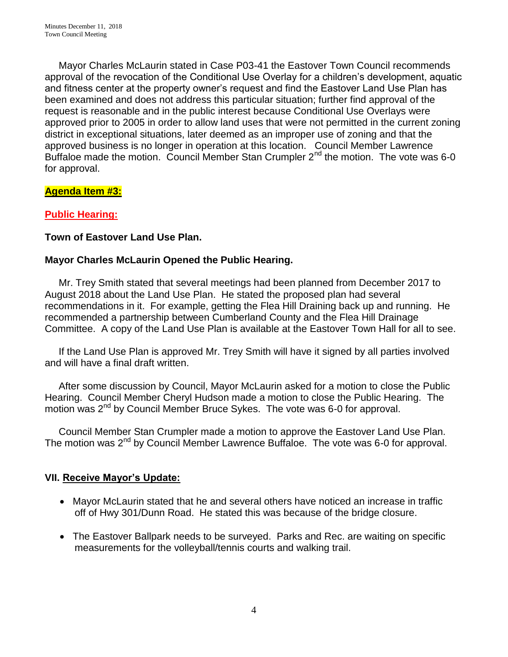Mayor Charles McLaurin stated in Case P03-41 the Eastover Town Council recommends approval of the revocation of the Conditional Use Overlay for a children's development, aquatic and fitness center at the property owner's request and find the Eastover Land Use Plan has been examined and does not address this particular situation; further find approval of the request is reasonable and in the public interest because Conditional Use Overlays were approved prior to 2005 in order to allow land uses that were not permitted in the current zoning district in exceptional situations, later deemed as an improper use of zoning and that the approved business is no longer in operation at this location. Council Member Lawrence Buffaloe made the motion. Council Member Stan Crumpler  $2^{nd}$  the motion. The vote was 6-0 for approval.

# **Agenda Item #3:**

# **Public Hearing:**

## **Town of Eastover Land Use Plan.**

# **Mayor Charles McLaurin Opened the Public Hearing.**

Mr. Trey Smith stated that several meetings had been planned from December 2017 to August 2018 about the Land Use Plan. He stated the proposed plan had several recommendations in it. For example, getting the Flea Hill Draining back up and running. He recommended a partnership between Cumberland County and the Flea Hill Drainage Committee. A copy of the Land Use Plan is available at the Eastover Town Hall for all to see.

 If the Land Use Plan is approved Mr. Trey Smith will have it signed by all parties involved and will have a final draft written.

 After some discussion by Council, Mayor McLaurin asked for a motion to close the Public Hearing. Council Member Cheryl Hudson made a motion to close the Public Hearing. The motion was 2<sup>nd</sup> by Council Member Bruce Sykes. The vote was 6-0 for approval.

 Council Member Stan Crumpler made a motion to approve the Eastover Land Use Plan. The motion was 2<sup>nd</sup> by Council Member Lawrence Buffaloe. The vote was 6-0 for approval.

# **VII. Receive Mayor's Update:**

- Mayor McLaurin stated that he and several others have noticed an increase in traffic off of Hwy 301/Dunn Road. He stated this was because of the bridge closure.
- The Eastover Ballpark needs to be surveyed. Parks and Rec. are waiting on specific measurements for the volleyball/tennis courts and walking trail.